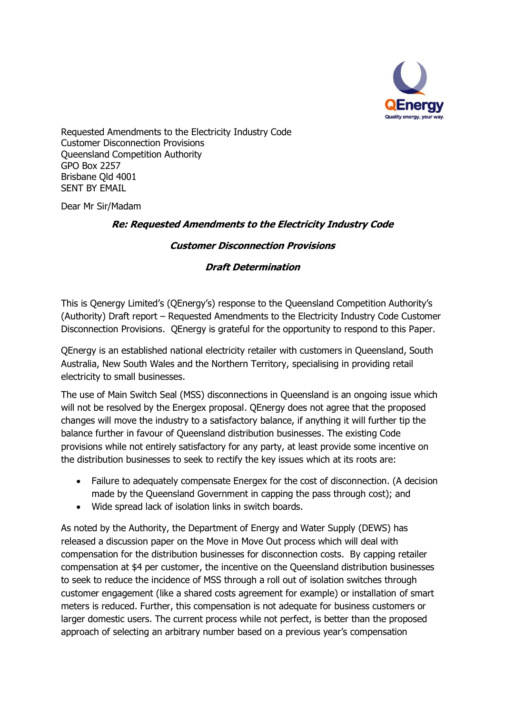

Requested Amendments to the Electricity Industry Code Customer Disconnection Provisions Queensland Competition Authority GPO Box 2257 Brisbane Qld 4001 SENT BY EMAIL

Dear Mr Sir/Madam

## **Re: Requested Amendments to the Electricity Industry Code**

## **Customer Disconnection Provisions**

## **Draft Determination**

This is Qenergy Limited's (QEnergy's) response to the Queensland Competition Authority's (Authority) Draft report – Requested Amendments to the Electricity Industry Code Customer Disconnection Provisions. QEnergy is grateful for the opportunity to respond to this Paper.

QEnergy is an established national electricity retailer with customers in Queensland, South Australia, New South Wales and the Northern Territory, specialising in providing retail electricity to small businesses.

The use of Main Switch Seal (MSS) disconnections in Queensland is an ongoing issue which will not be resolved by the Energex proposal. QEnergy does not agree that the proposed changes will move the industry to a satisfactory balance, if anything it will further tip the balance further in favour of Queensland distribution businesses. The existing Code provisions while not entirely satisfactory for any party, at least provide some incentive on the distribution businesses to seek to rectify the key issues which at its roots are:

- Failure to adequately compensate Energex for the cost of disconnection. (A decision made by the Queensland Government in capping the pass through cost); and
- Wide spread lack of isolation links in switch boards.

As noted by the Authority, the Department of Energy and Water Supply (DEWS) has released a discussion paper on the Move in Move Out process which will deal with compensation for the distribution businesses for disconnection costs. By capping retailer compensation at \$4 per customer, the incentive on the Queensland distribution businesses to seek to reduce the incidence of MSS through a roll out of isolation switches through customer engagement (like a shared costs agreement for example) or installation of smart meters is reduced. Further, this compensation is not adequate for business customers or larger domestic users. The current process while not perfect, is better than the proposed approach of selecting an arbitrary number based on a previous year's compensation